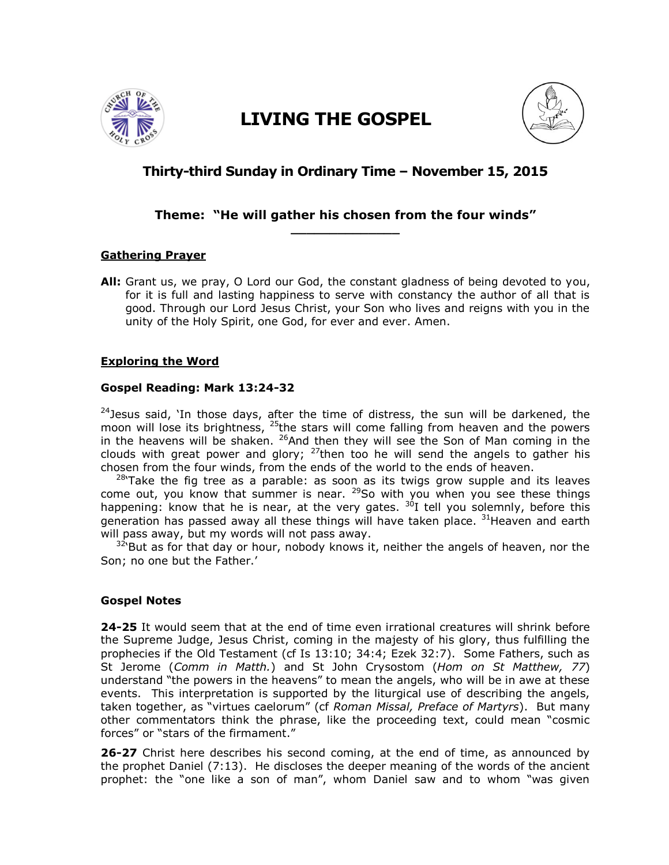

# **LIVING THE GOSPEL**



# **Thirty-third Sunday in Ordinary Time – November 15, 2015**

# **Theme: "He will gather his chosen from the four winds" \_\_\_\_\_\_\_\_\_\_\_\_\_\_**

# **Gathering Prayer**

**All:** Grant us, we pray, O Lord our God, the constant gladness of being devoted to you, for it is full and lasting happiness to serve with constancy the author of all that is good. Through our Lord Jesus Christ, your Son who lives and reigns with you in the unity of the Holy Spirit, one God, for ever and ever. Amen.

# **Exploring the Word**

# **Gospel Reading: Mark 13:24-32**

 $24$  Jesus said, 'In those days, after the time of distress, the sun will be darkened, the moon will lose its brightness,  $25$ the stars will come falling from heaven and the powers in the heavens will be shaken.  $^{26}$ And then they will see the Son of Man coming in the clouds with great power and glory;  $^{27}$ then too he will send the angels to gather his chosen from the four winds, from the ends of the world to the ends of heaven.

 $28$ <sup>28</sup>Take the fig tree as a parable: as soon as its twigs grow supple and its leaves come out, you know that summer is near.  $29$ So with you when you see these things happening: know that he is near, at the very gates.  $3^{6}I$  tell you solemnly, before this generation has passed away all these things will have taken place. <sup>31</sup>Heaven and earth will pass away, but my words will not pass away.

 $32$ <sup>32</sup>But as for that day or hour, nobody knows it, neither the angels of heaven, nor the Son; no one but the Father.'

# **Gospel Notes**

**24-25** It would seem that at the end of time even irrational creatures will shrink before the Supreme Judge, Jesus Christ, coming in the majesty of his glory, thus fulfilling the prophecies if the Old Testament (cf Is 13:10; 34:4; Ezek 32:7). Some Fathers, such as St Jerome (*Comm in Matth.*) and St John Crysostom (*Hom on St Matthew, 77*) understand "the powers in the heavens" to mean the angels, who will be in awe at these events. This interpretation is supported by the liturgical use of describing the angels, taken together, as "virtues caelorum" (cf *Roman Missal, Preface of Martyrs*). But many other commentators think the phrase, like the proceeding text, could mean "cosmic forces" or "stars of the firmament."

**26-27** Christ here describes his second coming, at the end of time, as announced by the prophet Daniel (7:13). He discloses the deeper meaning of the words of the ancient prophet: the "one like a son of man", whom Daniel saw and to whom "was given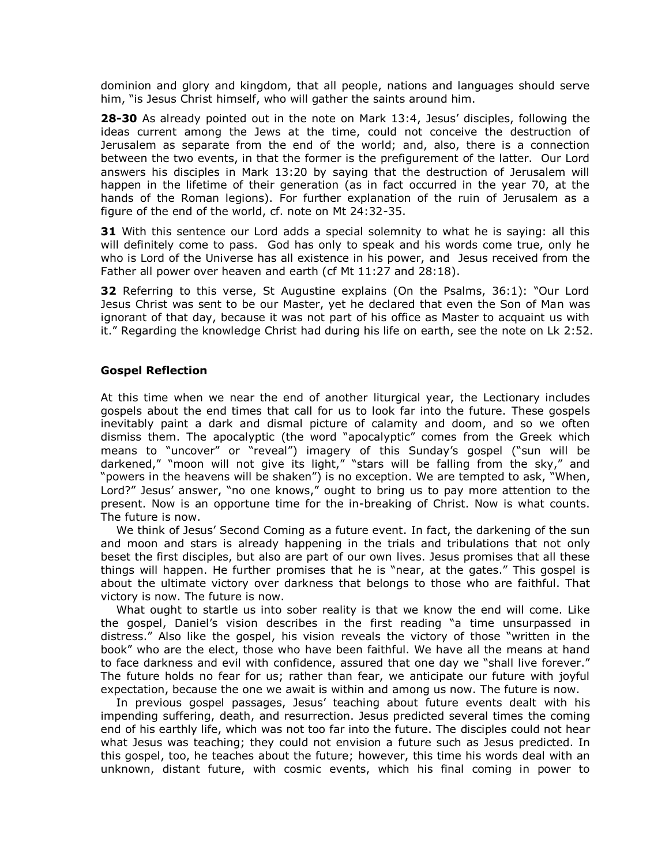dominion and glory and kingdom, that all people, nations and languages should serve him, "is Jesus Christ himself, who will gather the saints around him.

**28-30** As already pointed out in the note on Mark 13:4, Jesus' disciples, following the ideas current among the Jews at the time, could not conceive the destruction of Jerusalem as separate from the end of the world; and, also, there is a connection between the two events, in that the former is the prefigurement of the latter. Our Lord answers his disciples in Mark 13:20 by saying that the destruction of Jerusalem will happen in the lifetime of their generation (as in fact occurred in the year 70, at the hands of the Roman legions). For further explanation of the ruin of Jerusalem as a figure of the end of the world, cf. note on Mt 24:32-35.

**31** With this sentence our Lord adds a special solemnity to what he is saying: all this will definitely come to pass. God has only to speak and his words come true, only he who is Lord of the Universe has all existence in his power, and Jesus received from the Father all power over heaven and earth (cf Mt 11:27 and 28:18).

**32** Referring to this verse, St Augustine explains (On the Psalms, 36:1): "Our Lord Jesus Christ was sent to be our Master, yet he declared that even the Son of Man was ignorant of that day, because it was not part of his office as Master to acquaint us with it." Regarding the knowledge Christ had during his life on earth, see the note on Lk 2:52.

#### **Gospel Reflection**

At this time when we near the end of another liturgical year, the Lectionary includes gospels about the end times that call for us to look far into the future. These gospels inevitably paint a dark and dismal picture of calamity and doom, and so we often dismiss them. The apocalyptic (the word "apocalyptic" comes from the Greek which means to "uncover" or "reveal") imagery of this Sunday's gospel ("sun will be darkened," "moon will not give its light," "stars will be falling from the sky," and "powers in the heavens will be shaken") is no exception. We are tempted to ask, "When, Lord?" Jesus' answer, "no one knows," ought to bring us to pay more attention to the present. Now is an opportune time for the in-breaking of Christ. Now is what counts. The future is now.

We think of Jesus' Second Coming as a future event. In fact, the darkening of the sun and moon and stars is already happening in the trials and tribulations that not only beset the first disciples, but also are part of our own lives. Jesus promises that all these things will happen. He further promises that he is "near, at the gates." This gospel is about the ultimate victory over darkness that belongs to those who are faithful. That victory is now. The future is now.

What ought to startle us into sober reality is that we know the end will come. Like the gospel, Daniel's vision describes in the first reading "a time unsurpassed in distress." Also like the gospel, his vision reveals the victory of those "written in the book" who are the elect, those who have been faithful. We have all the means at hand to face darkness and evil with confidence, assured that one day we "shall live forever." The future holds no fear for us; rather than fear, we anticipate our future with joyful expectation, because the one we await is within and among us now. The future is now.

In previous gospel passages, Jesus' teaching about future events dealt with his impending suffering, death, and resurrection. Jesus predicted several times the coming end of his earthly life, which was not too far into the future. The disciples could not hear what Jesus was teaching; they could not envision a future such as Jesus predicted. In this gospel, too, he teaches about the future; however, this time his words deal with an unknown, distant future, with cosmic events, which his final coming in power to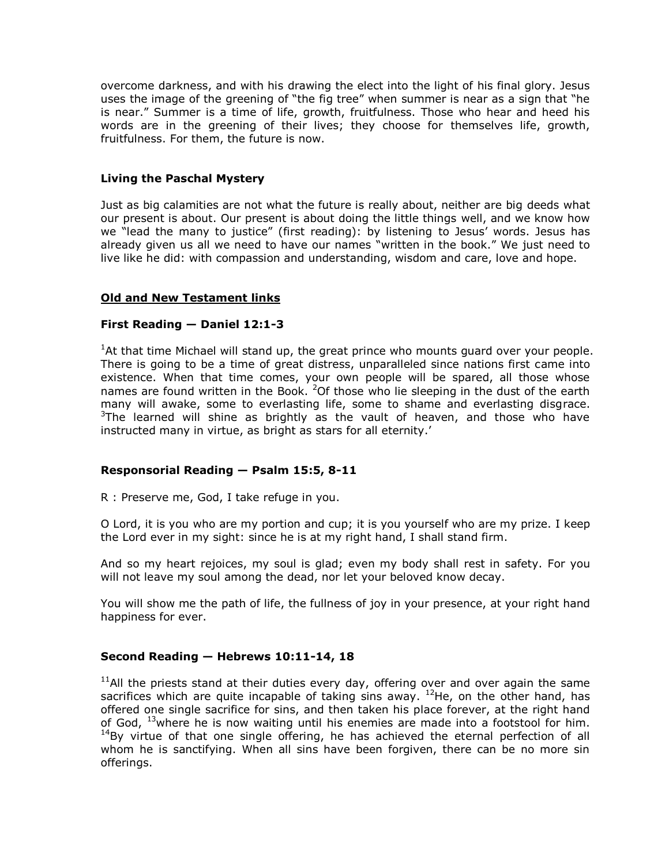overcome darkness, and with his drawing the elect into the light of his final glory. Jesus uses the image of the greening of "the fig tree" when summer is near as a sign that "he is near." Summer is a time of life, growth, fruitfulness. Those who hear and heed his words are in the greening of their lives; they choose for themselves life, growth, fruitfulness. For them, the future is now.

### **Living the Paschal Mystery**

Just as big calamities are not what the future is really about, neither are big deeds what our present is about. Our present is about doing the little things well, and we know how we "lead the many to justice" (first reading): by listening to Jesus' words. Jesus has already given us all we need to have our names "written in the book." We just need to live like he did: with compassion and understanding, wisdom and care, love and hope.

#### **Old and New Testament links**

#### **First Reading — Daniel 12:1-3**

 $1$ At that time Michael will stand up, the great prince who mounts guard over your people. There is going to be a time of great distress, unparalleled since nations first came into existence. When that time comes, your own people will be spared, all those whose names are found written in the Book.  $2$ Of those who lie sleeping in the dust of the earth many will awake, some to everlasting life, some to shame and everlasting disgrace.  $3$ The learned will shine as brightly as the vault of heaven, and those who have instructed many in virtue, as bright as stars for all eternity.'

# **Responsorial Reading — Psalm 15:5, 8-11**

R : Preserve me, God, I take refuge in you.

O Lord, it is you who are my portion and cup; it is you yourself who are my prize. I keep the Lord ever in my sight: since he is at my right hand, I shall stand firm.

And so my heart rejoices, my soul is glad; even my body shall rest in safety. For you will not leave my soul among the dead, nor let your beloved know decay.

You will show me the path of life, the fullness of joy in your presence, at your right hand happiness for ever.

# **Second Reading — Hebrews 10:11-14, 18**

 $<sup>11</sup>$ All the priests stand at their duties every day, offering over and over again the same</sup> sacrifices which are quite incapable of taking sins away.  $^{12}$ He, on the other hand, has offered one single sacrifice for sins, and then taken his place forever, at the right hand of God, <sup>13</sup>where he is now waiting until his enemies are made into a footstool for him.  $14$ By virtue of that one single offering, he has achieved the eternal perfection of all whom he is sanctifying. When all sins have been forgiven, there can be no more sin offerings.